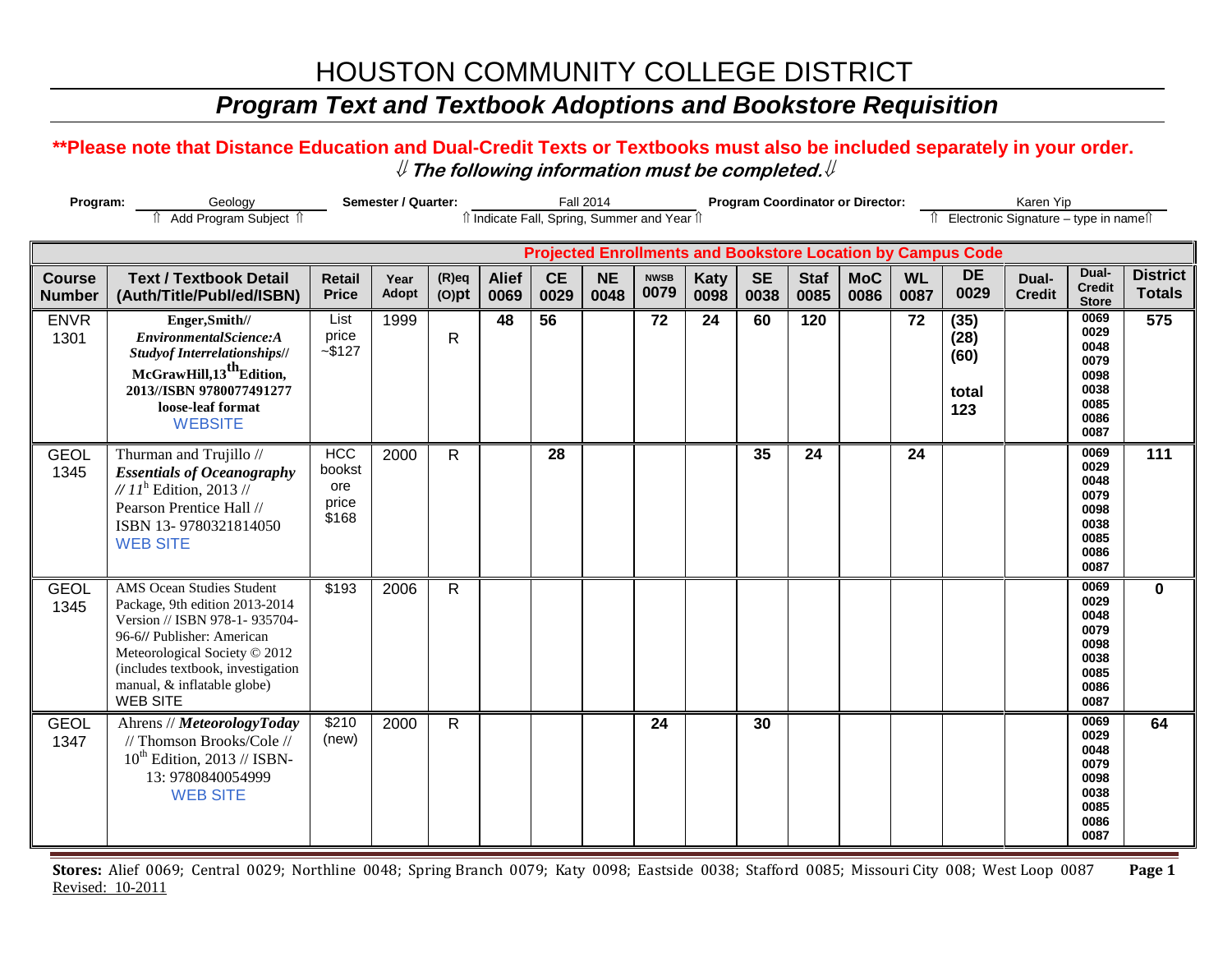# HOUSTON COMMUNITY COLLEGE DISTRICT

### *Program Text and Textbook Adoptions and Bookstore Requisition*

#### **\*\*Please note that Distance Education and Dual-Credit Texts or Textbooks must also be included separately in your order.**  ⇓ **The following information must be completed.**⇓

| Program:                       |                                                                                                                                                                                                                                                           | Semester / Quarter:                           |               |                      |                                              | <b>Fall 2014</b>  |                   |                     |                     | <b>Program Coordinator or Director:</b> |                     |                    | Karen Yip         |                                                                    |                                          |                                                                      |                                  |
|--------------------------------|-----------------------------------------------------------------------------------------------------------------------------------------------------------------------------------------------------------------------------------------------------------|-----------------------------------------------|---------------|----------------------|----------------------------------------------|-------------------|-------------------|---------------------|---------------------|-----------------------------------------|---------------------|--------------------|-------------------|--------------------------------------------------------------------|------------------------------------------|----------------------------------------------------------------------|----------------------------------|
|                                | Add Program Subject 1                                                                                                                                                                                                                                     |                                               |               |                      | îl Indicate Fall, Spring, Summer and Year îl |                   |                   |                     |                     |                                         |                     |                    |                   |                                                                    | Îl Electronic Signature - type in nameîl |                                                                      |                                  |
|                                |                                                                                                                                                                                                                                                           |                                               |               |                      |                                              |                   |                   |                     |                     |                                         |                     |                    |                   | <b>Projected Enrollments and Bookstore Location by Campus Code</b> |                                          |                                                                      |                                  |
| <b>Course</b><br><b>Number</b> | <b>Text / Textbook Detail</b><br>(Auth/Title/Publ/ed/ISBN)                                                                                                                                                                                                | <b>Retail</b><br><b>Price</b>                 | Year<br>Adopt | $(R)$ eq<br>$(O)$ pt | <b>Alief</b><br>0069                         | <b>CE</b><br>0029 | <b>NE</b><br>0048 | <b>NWSB</b><br>0079 | <b>Katy</b><br>0098 | <b>SE</b><br>0038                       | <b>Staf</b><br>0085 | <b>MoC</b><br>0086 | <b>WL</b><br>0087 | <b>DE</b><br>0029                                                  | Dual-<br><b>Credit</b>                   | Dual-<br><b>Credit</b><br><b>Store</b>                               | <b>District</b><br><b>Totals</b> |
| <b>ENVR</b><br>1301            | Enger, Smith//<br>EnvironmentalScience:A<br><b>Studyof Interrelationships//</b><br>McGrawHill,13 <sup>th</sup> Edition,<br>2013//ISBN 9780077491277<br>loose-leaf format<br><b>WEBSITE</b>                                                                | List<br>price<br>$-$ \$127                    | 1999          | $\mathsf{R}$         | 48                                           | 56                |                   | 72                  | 24                  | 60                                      | 120                 |                    | 72                | (35)<br>(28)<br>(60)<br>total<br>123                               |                                          | 0069<br>0029<br>0048<br>0079<br>0098<br>0038<br>0085<br>0086<br>0087 | 575                              |
| <b>GEOL</b><br>1345            | Thurman and Trujillo //<br><b>Essentials of Oceanography</b><br>// $11^h$ Edition, 2013 //<br>Pearson Prentice Hall //<br>ISBN 13-9780321814050<br><b>WEB SITE</b>                                                                                        | <b>HCC</b><br>bookst<br>ore<br>price<br>\$168 | 2000          | $\mathsf{R}$         |                                              | 28                |                   |                     |                     | 35                                      | 24                  |                    | 24                |                                                                    |                                          | 0069<br>0029<br>0048<br>0079<br>0098<br>0038<br>0085<br>0086<br>0087 | $\overline{111}$                 |
| <b>GEOL</b><br>1345            | <b>AMS Ocean Studies Student</b><br>Package, 9th edition 2013-2014<br>Version // ISBN 978-1-935704-<br>96-6// Publisher: American<br>Meteorological Society © 2012<br>(includes textbook, investigation<br>manual, & inflatable globe)<br><b>WEB SITE</b> | \$193                                         | 2006          | $\mathsf{R}$         |                                              |                   |                   |                     |                     |                                         |                     |                    |                   |                                                                    |                                          | 0069<br>0029<br>0048<br>0079<br>0098<br>0038<br>0085<br>0086<br>0087 | $\bf{0}$                         |
| <b>GEOL</b><br>1347            | Ahrens // MeteorologyToday<br>// Thomson Brooks/Cole //<br>$10^{th}$ Edition, 2013 // ISBN-<br>13: 9780840054999<br><b>WEB SITE</b>                                                                                                                       | \$210<br>(new)                                | 2000          | $\mathsf{R}$         |                                              |                   |                   | 24                  |                     | 30                                      |                     |                    |                   |                                                                    |                                          | 0069<br>0029<br>0048<br>0079<br>0098<br>0038<br>0085<br>0086<br>0087 | 64                               |

**Stores:** Alief 0069; Central 0029; Northline 0048; Spring Branch 0079; Katy 0098; Eastside 0038; Stafford 0085; Missouri City 008; West Loop 0087 **Page 1** Revised: 10-2011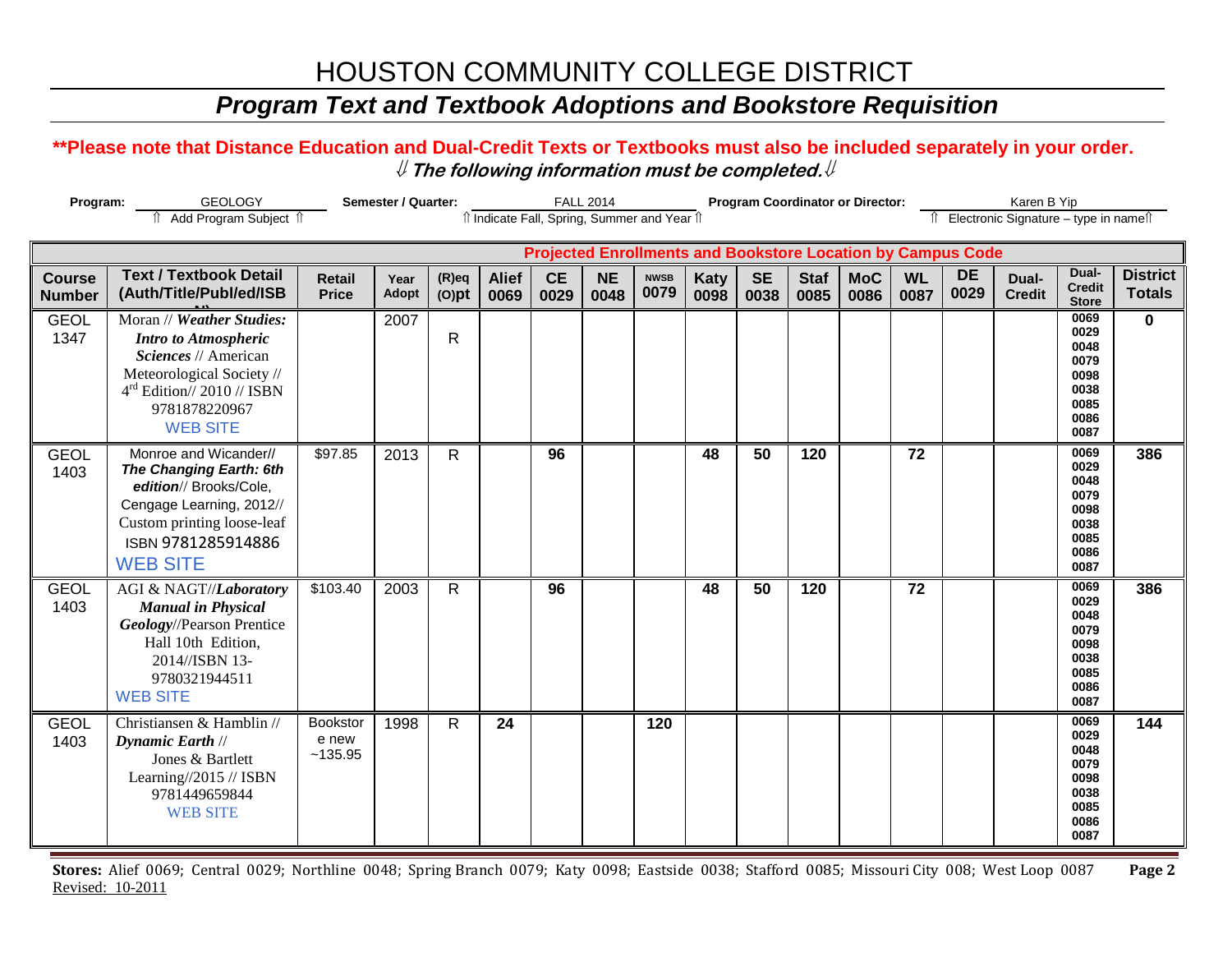# HOUSTON COMMUNITY COLLEGE DISTRICT

### *Program Text and Textbook Adoptions and Bookstore Requisition*

#### **\*\*Please note that Distance Education and Dual-Credit Texts or Textbooks must also be included separately in your order.**  ⇓ **The following information must be completed.**⇓

| Program:<br><b>GEOLOGY</b>     |                                                                                                                                                                                   | Semester / Quarter:           |                      |                         | <b>FALL 2014</b>     |                   |                   |                                              | <b>Program Coordinator or Director:</b> |                   |                     |                    |                   |                                                                    | Karen B Yip                                        |                                                                      |                                  |  |
|--------------------------------|-----------------------------------------------------------------------------------------------------------------------------------------------------------------------------------|-------------------------------|----------------------|-------------------------|----------------------|-------------------|-------------------|----------------------------------------------|-----------------------------------------|-------------------|---------------------|--------------------|-------------------|--------------------------------------------------------------------|----------------------------------------------------|----------------------------------------------------------------------|----------------------------------|--|
|                                | Add Program Subject 1                                                                                                                                                             |                               |                      |                         |                      |                   |                   | îl Indicate Fall, Spring, Summer and Year îl |                                         |                   |                     |                    |                   |                                                                    | ↑ Electronic Signature - type in name <sup>1</sup> |                                                                      |                                  |  |
|                                |                                                                                                                                                                                   |                               |                      |                         |                      |                   |                   |                                              |                                         |                   |                     |                    |                   | <b>Projected Enrollments and Bookstore Location by Campus Code</b> |                                                    |                                                                      |                                  |  |
| <b>Course</b><br><b>Number</b> | <b>Text / Textbook Detail</b><br>(Auth/Title/Publ/ed/ISB                                                                                                                          | <b>Retail</b><br><b>Price</b> | Year<br><b>Adopt</b> | $(R)$ eq<br>$(O)$ pt    | <b>Alief</b><br>0069 | <b>CE</b><br>0029 | <b>NE</b><br>0048 | <b>NWSB</b><br>0079                          | <b>Katy</b><br>0098                     | <b>SE</b><br>0038 | <b>Staf</b><br>0085 | <b>MoC</b><br>0086 | <b>WL</b><br>0087 | <b>DE</b><br>0029                                                  | Dual-<br><b>Credit</b>                             | Dual-<br><b>Credit</b><br><b>Store</b>                               | <b>District</b><br><b>Totals</b> |  |
| <b>GEOL</b><br>1347            | Moran // Weather Studies:<br><b>Intro to Atmospheric</b><br>Sciences // American<br>Meteorological Society //<br>$4rd$ Edition// 2010 // ISBN<br>9781878220967<br><b>WEB SITE</b> |                               | 2007                 | $\overline{\mathsf{R}}$ |                      |                   |                   |                                              |                                         |                   |                     |                    |                   |                                                                    |                                                    | 0069<br>0029<br>0048<br>0079<br>0098<br>0038<br>0085<br>0086<br>0087 | $\mathbf{0}$                     |  |
| <b>GEOL</b><br>1403            | Monroe and Wicander//<br>The Changing Earth: 6th<br>edition// Brooks/Cole,<br>Cengage Learning, 2012//<br>Custom printing loose-leaf<br>ISBN 9781285914886<br><b>WEB SITE</b>     | \$97.85                       | 2013                 | R.                      |                      | 96                |                   |                                              | 48                                      | 50                | 120                 |                    | 72                |                                                                    |                                                    | 0069<br>0029<br>0048<br>0079<br>0098<br>0038<br>0085<br>0086<br>0087 | 386                              |  |
| <b>GEOL</b><br>1403            | AGI & NAGT//Laboratory<br><b>Manual in Physical</b><br>Geology//Pearson Prentice<br>Hall 10th Edition,<br>2014//ISBN 13-<br>9780321944511<br><b>WEB SITE</b>                      | \$103.40                      | 2003                 | R                       |                      | 96                |                   |                                              | 48                                      | 50                | 120                 |                    | 72                |                                                                    |                                                    | 0069<br>0029<br>0048<br>0079<br>0098<br>0038<br>0085<br>0086<br>0087 | 386                              |  |
| <b>GEOL</b><br>1403            | Christiansen & Hamblin //<br>Dynamic Earth //<br>Jones & Bartlett<br>Learning//2015 // ISBN<br>9781449659844<br><b>WEB SITE</b>                                                   | Bookstor<br>e new<br>~135.95  | 1998                 | R.                      | 24                   |                   |                   | 120                                          |                                         |                   |                     |                    |                   |                                                                    |                                                    | 0069<br>0029<br>0048<br>0079<br>0098<br>0038<br>0085<br>0086<br>0087 | 144                              |  |

**Stores:** Alief 0069; Central 0029; Northline 0048; Spring Branch 0079; Katy 0098; Eastside 0038; Stafford 0085; Missouri City 008; West Loop 0087 **Page 2** Revised: 10-2011